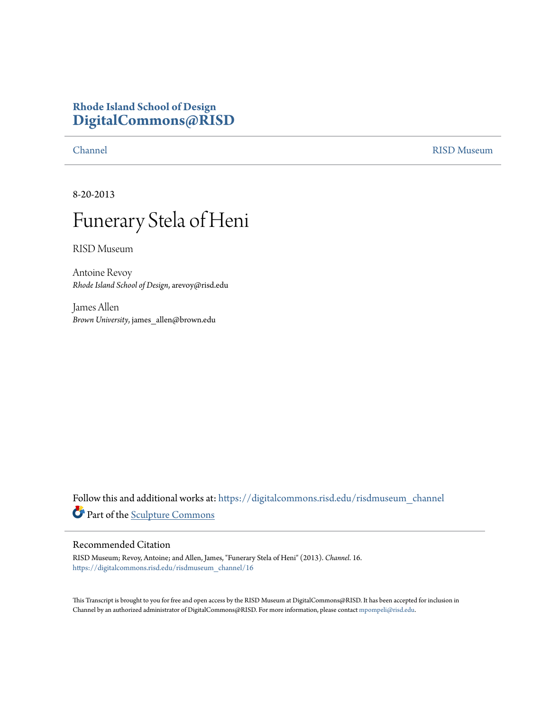## **Rhode Island School of Design [DigitalCommons@RISD](https://digitalcommons.risd.edu?utm_source=digitalcommons.risd.edu%2Frisdmuseum_channel%2F16&utm_medium=PDF&utm_campaign=PDFCoverPages)**

[Channel](https://digitalcommons.risd.edu/risdmuseum_channel?utm_source=digitalcommons.risd.edu%2Frisdmuseum_channel%2F16&utm_medium=PDF&utm_campaign=PDFCoverPages) [RISD Museum](https://digitalcommons.risd.edu/risdmuseum?utm_source=digitalcommons.risd.edu%2Frisdmuseum_channel%2F16&utm_medium=PDF&utm_campaign=PDFCoverPages)

8-20-2013

## Funerary Stela of Heni

RISD Museum

Antoine Revoy *Rhode Island School of Design*, arevoy@risd.edu

James Allen *Brown University*, james\_allen@brown.edu

Follow this and additional works at: [https://digitalcommons.risd.edu/risdmuseum\\_channel](https://digitalcommons.risd.edu/risdmuseum_channel?utm_source=digitalcommons.risd.edu%2Frisdmuseum_channel%2F16&utm_medium=PDF&utm_campaign=PDFCoverPages) Part of the [Sculpture Commons](http://network.bepress.com/hgg/discipline/1341?utm_source=digitalcommons.risd.edu%2Frisdmuseum_channel%2F16&utm_medium=PDF&utm_campaign=PDFCoverPages)

## Recommended Citation

RISD Museum; Revoy, Antoine; and Allen, James, "Funerary Stela of Heni" (2013). *Channel*. 16. [https://digitalcommons.risd.edu/risdmuseum\\_channel/16](https://digitalcommons.risd.edu/risdmuseum_channel/16?utm_source=digitalcommons.risd.edu%2Frisdmuseum_channel%2F16&utm_medium=PDF&utm_campaign=PDFCoverPages)

This Transcript is brought to you for free and open access by the RISD Museum at DigitalCommons@RISD. It has been accepted for inclusion in Channel by an authorized administrator of DigitalCommons@RISD. For more information, please contact [mpompeli@risd.edu.](mailto:mpompeli@risd.edu)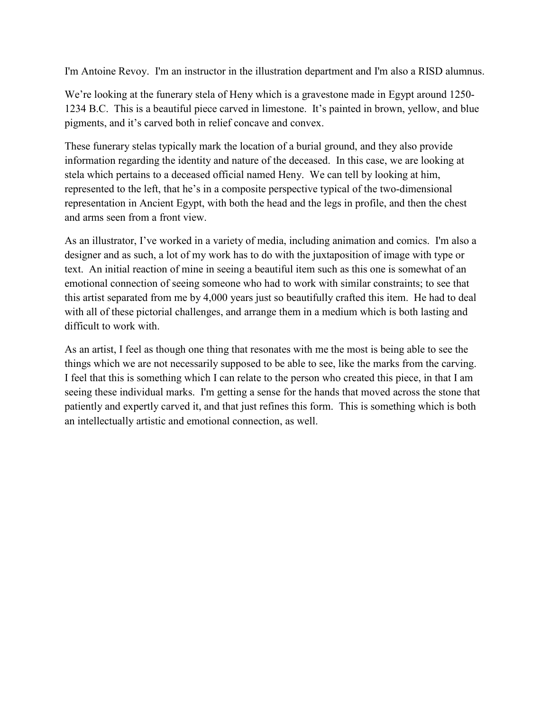I'm Antoine Revoy. I'm an instructor in the illustration department and I'm also a RISD alumnus.

We're looking at the funerary stela of Heny which is a gravestone made in Egypt around 1250-1234 B.C. This is a beautiful piece carved in limestone. It's painted in brown, yellow, and blue pigments, and it's carved both in relief concave and convex.

These funerary stelas typically mark the location of a burial ground, and they also provide information regarding the identity and nature of the deceased. In this case, we are looking at stela which pertains to a deceased official named Heny. We can tell by looking at him, represented to the left, that he's in a composite perspective typical of the two-dimensional representation in Ancient Egypt, with both the head and the legs in profile, and then the chest and arms seen from a front view.

As an illustrator, I've worked in a variety of media, including animation and comics. I'm also a designer and as such, a lot of my work has to do with the juxtaposition of image with type or text. An initial reaction of mine in seeing a beautiful item such as this one is somewhat of an emotional connection of seeing someone who had to work with similar constraints; to see that this artist separated from me by 4,000 years just so beautifully crafted this item. He had to deal with all of these pictorial challenges, and arrange them in a medium which is both lasting and difficult to work with.

As an artist, I feel as though one thing that resonates with me the most is being able to see the things which we are not necessarily supposed to be able to see, like the marks from the carving. I feel that this is something which I can relate to the person who created this piece, in that I am seeing these individual marks. I'm getting a sense for the hands that moved across the stone that patiently and expertly carved it, and that just refines this form. This is something which is both an intellectually artistic and emotional connection, as well.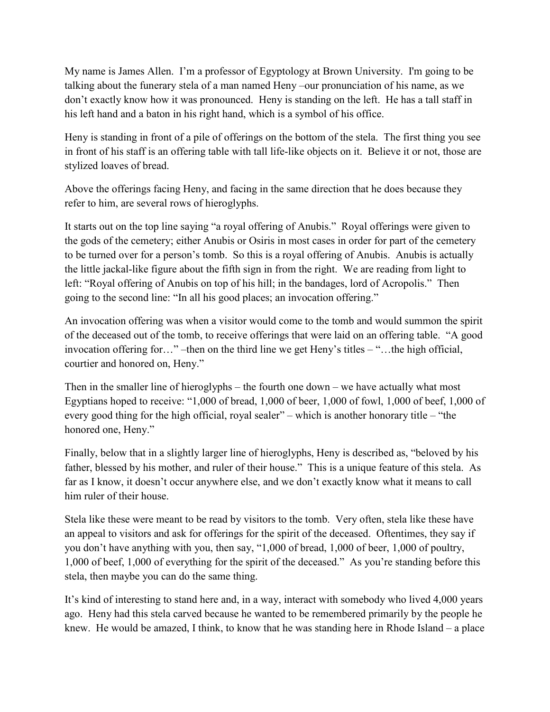My name is James Allen. I'm a professor of Egyptology at Brown University. I'm going to be talking about the funerary stela of a man named Heny –our pronunciation of his name, as we don't exactly know how it was pronounced. Heny is standing on the left. He has a tall staff in his left hand and a baton in his right hand, which is a symbol of his office.

Heny is standing in front of a pile of offerings on the bottom of the stela. The first thing you see in front of his staff is an offering table with tall life-like objects on it. Believe it or not, those are stylized loaves of bread.

Above the offerings facing Heny, and facing in the same direction that he does because they refer to him, are several rows of hieroglyphs.

It starts out on the top line saying "a royal offering of Anubis." Royal offerings were given to the gods of the cemetery; either Anubis or Osiris in most cases in order for part of the cemetery to be turned over for a person's tomb. So this is a royal offering of Anubis. Anubis is actually the little jackal-like figure about the fifth sign in from the right. We are reading from light to left: "Royal offering of Anubis on top of his hill; in the bandages, lord of Acropolis." Then going to the second line: "In all his good places; an invocation offering."

An invocation offering was when a visitor would come to the tomb and would summon the spirit of the deceased out of the tomb, to receive offerings that were laid on an offering table. "A good invocation offering for…" –then on the third line we get Heny's titles – "…the high official, courtier and honored on, Heny."

Then in the smaller line of hieroglyphs – the fourth one down – we have actually what most Egyptians hoped to receive: "1,000 of bread, 1,000 of beer, 1,000 of fowl, 1,000 of beef, 1,000 of every good thing for the high official, royal sealer" – which is another honorary title – "the honored one, Heny."

Finally, below that in a slightly larger line of hieroglyphs, Heny is described as, "beloved by his father, blessed by his mother, and ruler of their house." This is a unique feature of this stela. As far as I know, it doesn't occur anywhere else, and we don't exactly know what it means to call him ruler of their house.

Stela like these were meant to be read by visitors to the tomb. Very often, stela like these have an appeal to visitors and ask for offerings for the spirit of the deceased. Oftentimes, they say if you don't have anything with you, then say, "1,000 of bread, 1,000 of beer, 1,000 of poultry, 1,000 of beef, 1,000 of everything for the spirit of the deceased." As you're standing before this stela, then maybe you can do the same thing.

It's kind of interesting to stand here and, in a way, interact with somebody who lived 4,000 years ago. Heny had this stela carved because he wanted to be remembered primarily by the people he knew. He would be amazed, I think, to know that he was standing here in Rhode Island – a place